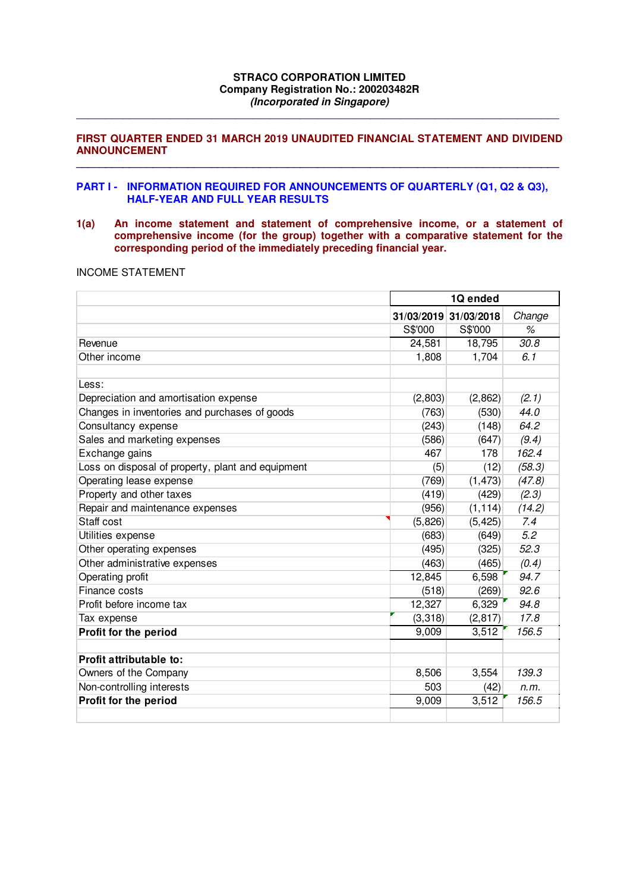## **STRACO CORPORATION LIMITED Company Registration No.: 200203482R (Incorporated in Singapore)**

**\_\_\_\_\_\_\_\_\_\_\_\_\_\_\_\_\_\_\_\_\_\_\_\_\_\_\_\_\_\_\_\_\_\_\_\_\_\_\_\_\_\_\_\_\_\_\_\_\_\_\_\_\_\_\_\_\_\_\_\_\_\_\_\_\_\_\_\_\_\_\_\_\_\_\_\_\_\_\_\_\_\_** 

## **FIRST QUARTER ENDED 31 MARCH 2019 UNAUDITED FINANCIAL STATEMENT AND DIVIDEND ANNOUNCEMENT \_\_\_\_\_\_\_\_\_\_\_\_\_\_\_\_\_\_\_\_\_\_\_\_\_\_\_\_\_\_\_\_\_\_\_\_\_\_\_\_\_\_\_\_\_\_\_\_\_\_\_\_\_\_\_\_\_\_\_\_\_\_\_\_\_\_\_\_\_\_\_\_\_\_\_\_\_\_\_\_\_\_**

## **PART I - INFORMATION REQUIRED FOR ANNOUNCEMENTS OF QUARTERLY (Q1, Q2 & Q3), HALF-YEAR AND FULL YEAR RESULTS**

**1(a) An income statement and statement of comprehensive income, or a statement of comprehensive income (for the group) together with a comparative statement for the corresponding period of the immediately preceding financial year.** 

## INCOME STATEMENT

|                                                   |          | 1Q ended              |                   |  |  |  |
|---------------------------------------------------|----------|-----------------------|-------------------|--|--|--|
|                                                   |          | 31/03/2019 31/03/2018 | Change            |  |  |  |
|                                                   | S\$'000  | S\$'000               | %                 |  |  |  |
| Revenue                                           | 24,581   | 18,795                | $\overline{30}.8$ |  |  |  |
| Other income                                      | 1,808    | 1,704                 | 6.1               |  |  |  |
|                                                   |          |                       |                   |  |  |  |
| Less:                                             |          |                       |                   |  |  |  |
| Depreciation and amortisation expense             | (2,803)  | (2,862)               | (2.1)             |  |  |  |
| Changes in inventories and purchases of goods     | (763)    | (530)                 | 44.0              |  |  |  |
| Consultancy expense                               | (243)    | (148)                 | 64.2              |  |  |  |
| Sales and marketing expenses                      | (586)    | (647)                 | (9.4)             |  |  |  |
| Exchange gains                                    | 467      | 178                   | 162.4             |  |  |  |
| Loss on disposal of property, plant and equipment | (5)      | (12)                  | (58.3)            |  |  |  |
| Operating lease expense                           | (769)    | (1, 473)              | (47.8)            |  |  |  |
| Property and other taxes                          | (419)    | (429)                 | (2.3)             |  |  |  |
| Repair and maintenance expenses                   | (956)    | (1, 114)              | (14.2)            |  |  |  |
| Staff cost                                        | (5,826)  | (5, 425)              | 7.4               |  |  |  |
| Utilities expense                                 | (683)    | (649)                 | 5.2               |  |  |  |
| Other operating expenses                          | (495)    | (325)                 | 52.3              |  |  |  |
| Other administrative expenses                     | (463)    | (465)                 | (0.4)             |  |  |  |
| Operating profit                                  | 12,845   | 6,598                 | 94.7              |  |  |  |
| Finance costs                                     | (518)    | (269)                 | 92.6              |  |  |  |
| Profit before income tax                          | 12,327   | 6,329                 | 94.8              |  |  |  |
| Tax expense                                       | (3, 318) | (2, 817)              | 17.8              |  |  |  |
| Profit for the period                             | 9,009    | 3,512                 | 156.5             |  |  |  |
|                                                   |          |                       |                   |  |  |  |
| Profit attributable to:                           |          |                       |                   |  |  |  |
| Owners of the Company                             | 8,506    | 3,554                 | 139.3             |  |  |  |
| Non-controlling interests                         | 503      | (42)                  | n.m.              |  |  |  |
| Profit for the period                             | 9,009    | 3,512                 | 156.5             |  |  |  |
|                                                   |          |                       |                   |  |  |  |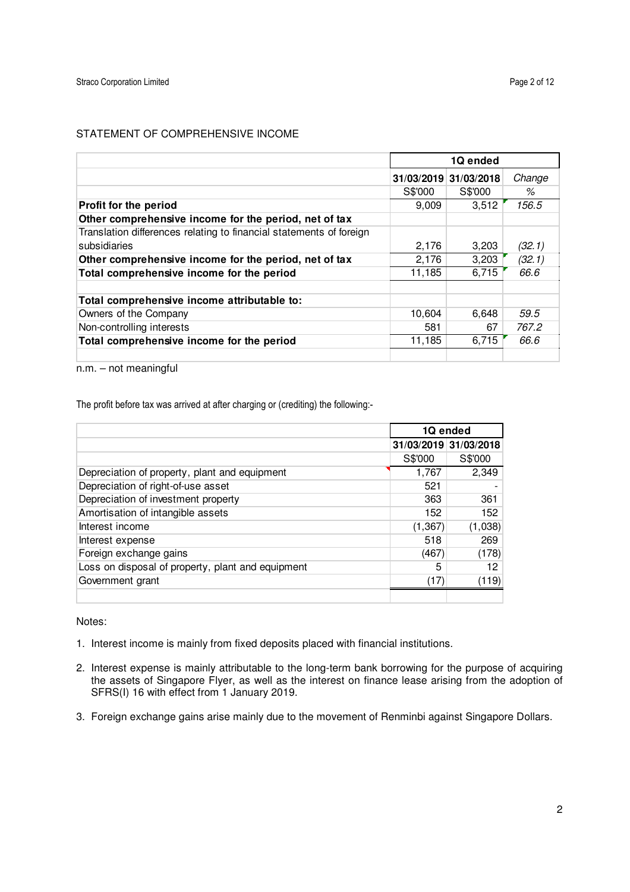# STATEMENT OF COMPREHENSIVE INCOME

|                                                                     |         | 1Q ended              |        |
|---------------------------------------------------------------------|---------|-----------------------|--------|
|                                                                     |         | 31/03/2019 31/03/2018 | Change |
|                                                                     | S\$'000 | S\$'000               | %      |
| Profit for the period                                               | 9.009   | 3,512                 | 156.5  |
| Other comprehensive income for the period, net of tax               |         |                       |        |
| Translation differences relating to financial statements of foreign |         |                       |        |
| subsidiaries                                                        | 2,176   | 3,203                 | (32.1) |
| Other comprehensive income for the period, net of tax               | 2,176   | 3,203                 | (32.1) |
| Total comprehensive income for the period                           | 11,185  | 6,715                 | 66.6   |
|                                                                     |         |                       |        |
| Total comprehensive income attributable to:                         |         |                       |        |
| Owners of the Company                                               | 10,604  | 6,648                 | 59.5   |
| Non-controlling interests                                           | 581     | 67                    | 767.2  |
| Total comprehensive income for the period                           | 11,185  | 6,715                 | 66.6   |
|                                                                     |         |                       |        |

n.m. – not meaningful

The profit before tax was arrived at after charging or (crediting) the following:-

|                                                   |          | 1Q ended              |
|---------------------------------------------------|----------|-----------------------|
|                                                   |          | 31/03/2019 31/03/2018 |
|                                                   | S\$'000  | S\$'000               |
| Depreciation of property, plant and equipment     | 1.767    | 2.349                 |
| Depreciation of right-of-use asset                | 521      |                       |
| Depreciation of investment property               | 363      | 361                   |
| Amortisation of intangible assets                 | 152      | 152                   |
| Interest income                                   | (1, 367) | (1,038)               |
| Interest expense                                  | 518      | 269                   |
| Foreign exchange gains                            | (467)    | (178)                 |
| Loss on disposal of property, plant and equipment | 5        | 12                    |
| Government grant                                  | (17)     | (119)                 |
|                                                   |          |                       |

Notes:

- 1. Interest income is mainly from fixed deposits placed with financial institutions.
- 2. Interest expense is mainly attributable to the long-term bank borrowing for the purpose of acquiring the assets of Singapore Flyer, as well as the interest on finance lease arising from the adoption of SFRS(I) 16 with effect from 1 January 2019.
- 3. Foreign exchange gains arise mainly due to the movement of Renminbi against Singapore Dollars.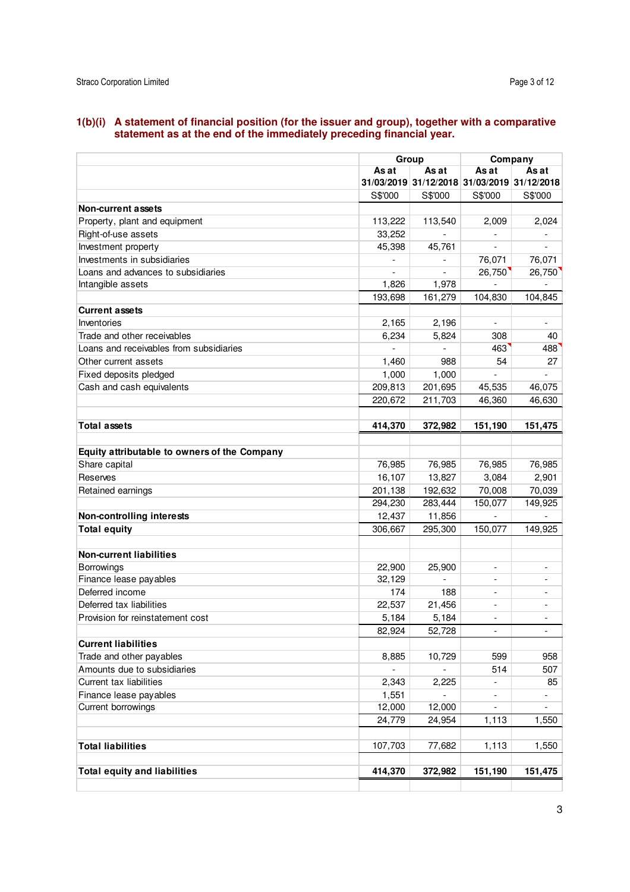#### **1(b)(i) A statement of financial position (for the issuer and group), together with a comparative statement as at the end of the immediately preceding financial year.**

|                                              |         | Group                    |                          | Company                                     |  |
|----------------------------------------------|---------|--------------------------|--------------------------|---------------------------------------------|--|
|                                              | As at   | As at                    | As at                    | As at                                       |  |
|                                              |         |                          |                          | 31/03/2019 31/12/2018 31/03/2019 31/12/2018 |  |
|                                              | S\$'000 | S\$'000                  | S\$'000                  | S\$'000                                     |  |
| Non-current assets                           |         |                          |                          |                                             |  |
| Property, plant and equipment                | 113,222 | 113,540                  | 2,009                    | 2,024                                       |  |
| Right-of-use assets                          | 33,252  |                          |                          |                                             |  |
| Investment property                          | 45,398  | 45,761                   |                          |                                             |  |
| Investments in subsidiaries                  |         |                          | 76,071                   | 76,071                                      |  |
| Loans and advances to subsidiaries           |         | $\overline{\phantom{a}}$ | 26,750                   | 26,750                                      |  |
| Intangible assets                            | 1,826   | 1,978                    |                          |                                             |  |
|                                              | 193,698 | 161,279                  | 104,830                  | 104,845                                     |  |
| <b>Current assets</b>                        |         |                          |                          |                                             |  |
| Inventories                                  | 2,165   | 2,196                    | $\overline{\phantom{a}}$ | $\overline{\phantom{a}}$                    |  |
| Trade and other receivables                  | 6,234   | 5,824                    | 308                      | 40                                          |  |
| Loans and receivables from subsidiaries      |         |                          | 463                      | 488                                         |  |
| Other current assets                         | 1,460   | 988                      | 54                       | 27                                          |  |
| Fixed deposits pledged                       | 1,000   | 1,000                    |                          |                                             |  |
| Cash and cash equivalents                    | 209,813 | 201,695                  | 45,535                   | 46,075                                      |  |
|                                              | 220,672 | 211,703                  | 46,360                   | 46,630                                      |  |
|                                              |         |                          |                          |                                             |  |
| <b>Total assets</b>                          | 414,370 | 372,982                  | 151,190                  | 151,475                                     |  |
|                                              |         |                          |                          |                                             |  |
| Equity attributable to owners of the Company |         |                          |                          |                                             |  |
| Share capital                                | 76,985  | 76,985                   | 76,985                   | 76,985                                      |  |
| Reserves                                     | 16,107  | 13,827                   | 3,084                    | 2,901                                       |  |
| Retained earnings                            | 201,138 | 192,632                  | 70,008                   | 70,039                                      |  |
|                                              | 294,230 | 283,444                  | 150,077                  | 149,925                                     |  |
| Non-controlling interests                    | 12,437  | 11,856                   |                          |                                             |  |
| <b>Total equity</b>                          | 306,667 | 295,300                  | 150,077                  | 149,925                                     |  |
|                                              |         |                          |                          |                                             |  |
| <b>Non-current liabilities</b>               |         |                          |                          |                                             |  |
| Borrowings                                   | 22,900  | 25,900                   | $\overline{\phantom{a}}$ | $\overline{\phantom{a}}$                    |  |
| Finance lease payables                       | 32,129  | $\blacksquare$           | $\overline{\phantom{a}}$ | $\overline{\phantom{a}}$                    |  |
| Deferred income                              | 174     | 188                      | $\overline{\phantom{a}}$ | $\overline{\phantom{a}}$                    |  |
| Deferred tax liabilities                     | 22,537  | 21,456                   | $\overline{\phantom{a}}$ |                                             |  |
| Provision for reinstatement cost             | 5,184   | 5,184                    | $\overline{a}$           |                                             |  |
|                                              | 82,924  | 52,728                   |                          | $\overline{\phantom{a}}$                    |  |
| <b>Current liabilities</b>                   |         |                          |                          |                                             |  |
| Trade and other payables                     | 8,885   | 10,729                   | 599                      | 958                                         |  |
| Amounts due to subsidiaries                  |         |                          | 514                      | 507                                         |  |
| Current tax liabilities                      | 2,343   | 2,225                    |                          | 85                                          |  |
| Finance lease payables                       | 1,551   | $\overline{\phantom{a}}$ |                          |                                             |  |
| Current borrowings                           | 12,000  | 12,000                   | $\overline{a}$           | $\overline{\phantom{0}}$                    |  |
|                                              | 24,779  | 24,954                   | 1,113                    | 1,550                                       |  |
|                                              |         |                          |                          |                                             |  |
| <b>Total liabilities</b>                     | 107,703 | 77,682                   | 1,113                    | 1,550                                       |  |
|                                              |         |                          |                          |                                             |  |
| <b>Total equity and liabilities</b>          | 414,370 | 372,982                  | 151,190                  | 151,475                                     |  |
|                                              |         |                          |                          |                                             |  |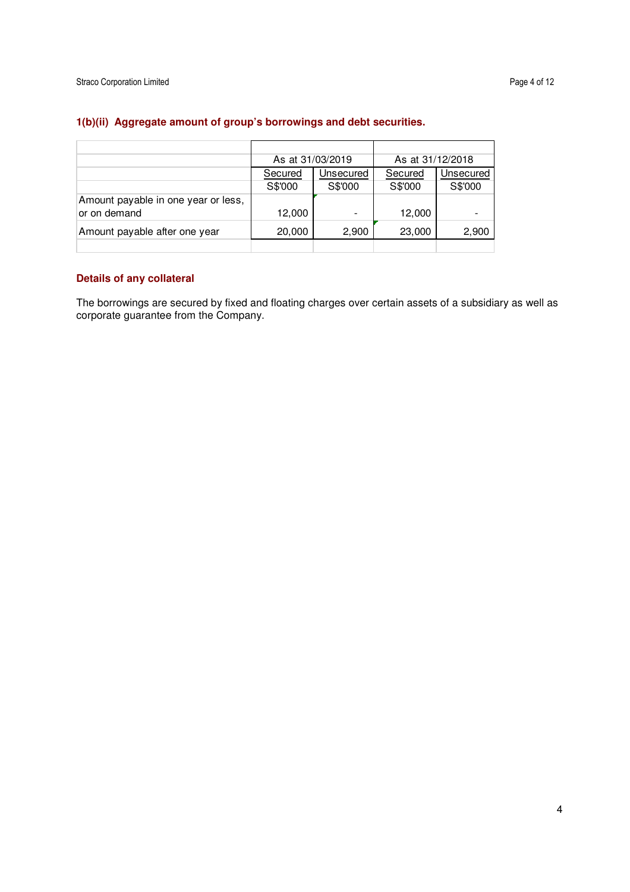|                                     | As at 31/03/2019 |           | As at 31/12/2018 |           |
|-------------------------------------|------------------|-----------|------------------|-----------|
|                                     | Secured          | Unsecured | Secured          | Unsecured |
|                                     | S\$'000          | S\$'000   | S\$'000          | S\$'000   |
| Amount payable in one year or less, |                  |           |                  |           |
| or on demand                        | 12,000           |           | 12,000           |           |
| Amount payable after one year       | 20,000           | 2,900     | 23,000           | 2,900     |
|                                     |                  |           |                  |           |

# **1(b)(ii) Aggregate amount of group's borrowings and debt securities.**

## **Details of any collateral**

The borrowings are secured by fixed and floating charges over certain assets of a subsidiary as well as corporate guarantee from the Company.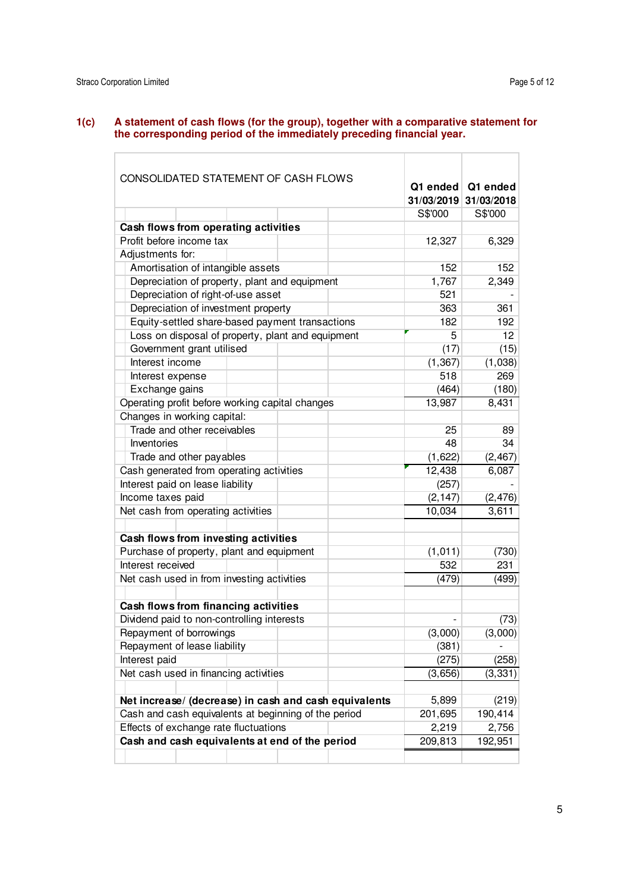### **1(c) A statement of cash flows (for the group), together with a comparative statement for the corresponding period of the immediately preceding financial year.**

| CONSOLIDATED STATEMENT OF CASH FLOWS                  |  |            | Q1 ended Q1 ended |
|-------------------------------------------------------|--|------------|-------------------|
|                                                       |  | 31/03/2019 | 31/03/2018        |
|                                                       |  | S\$'000    | S\$'000           |
| Cash flows from operating activities                  |  |            |                   |
| Profit before income tax                              |  | 12,327     | 6,329             |
| Adjustments for:                                      |  |            |                   |
| Amortisation of intangible assets                     |  | 152        | 152               |
| Depreciation of property, plant and equipment         |  | 1,767      | 2,349             |
| Depreciation of right-of-use asset                    |  | 521        |                   |
| Depreciation of investment property                   |  | 363        | 361               |
| Equity-settled share-based payment transactions       |  | 182        | 192               |
| Loss on disposal of property, plant and equipment     |  | 5          | 12                |
| Government grant utilised                             |  | (17)       | (15)              |
| Interest income                                       |  | (1, 367)   | (1,038)           |
| Interest expense                                      |  | 518        | 269               |
| Exchange gains                                        |  | (464)      | (180)             |
| Operating profit before working capital changes       |  | 13,987     | 8,431             |
| Changes in working capital:                           |  |            |                   |
| Trade and other receivables                           |  | 25         | 89                |
| Inventories                                           |  | 48         | 34                |
| Trade and other payables                              |  | (1,622)    | (2, 467)          |
| Cash generated from operating activities              |  | 12,438     | 6,087             |
| Interest paid on lease liability                      |  | (257)      |                   |
| Income taxes paid                                     |  | (2, 147)   | (2, 476)          |
| Net cash from operating activities                    |  | 10,034     | 3,611             |
|                                                       |  |            |                   |
| Cash flows from investing activities                  |  |            |                   |
| Purchase of property, plant and equipment             |  | (1, 011)   | (730)             |
| Interest received                                     |  | 532        | 231               |
| Net cash used in from investing activities            |  | (479)      | (499)             |
|                                                       |  |            |                   |
| Cash flows from financing activities                  |  |            |                   |
| Dividend paid to non-controlling interests            |  |            | (73)              |
| Repayment of borrowings                               |  | (3,000)    | (3,000)           |
| Repayment of lease liability                          |  | (381)      |                   |
| Interest paid                                         |  | (275)      | (258)             |
| Net cash used in financing activities                 |  | (3,656)    | (3, 331)          |
|                                                       |  |            |                   |
| Net increase/ (decrease) in cash and cash equivalents |  | 5,899      | (219)             |
| Cash and cash equivalents at beginning of the period  |  | 201,695    | 190,414           |
| Effects of exchange rate fluctuations                 |  | 2,219      | 2,756             |
| Cash and cash equivalents at end of the period        |  | 209,813    | 192,951           |
|                                                       |  |            |                   |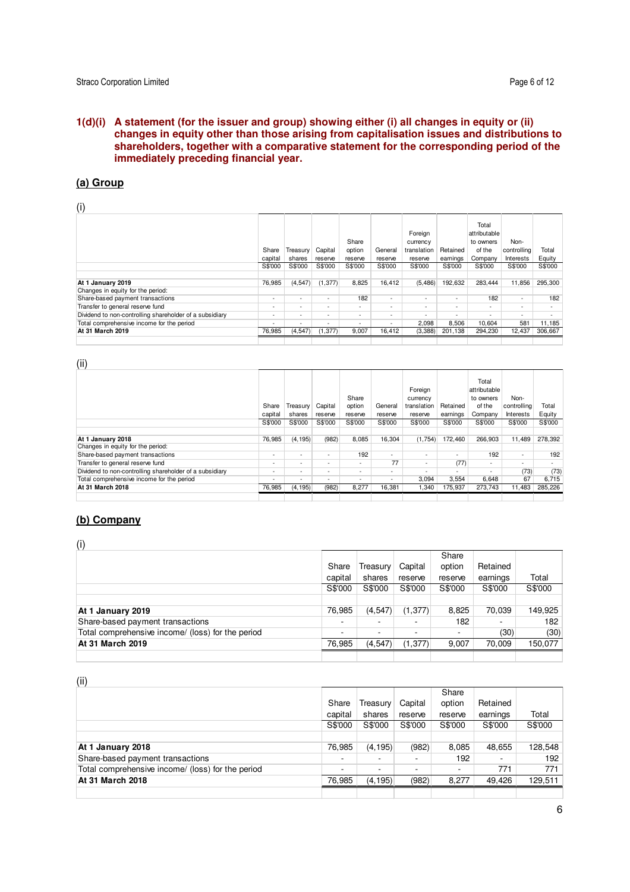## **1(d)(i) A statement (for the issuer and group) showing either (i) all changes in equity or (ii) changes in equity other than those arising from capitalisation issues and distributions to shareholders, together with a comparative statement for the corresponding period of the immediately preceding financial year.**

# **(a) Group**

 $(i)$ 

| W                                                       |                          |                          |                          |                            |                          |                                               |                          |                                                         |                                  |                 |
|---------------------------------------------------------|--------------------------|--------------------------|--------------------------|----------------------------|--------------------------|-----------------------------------------------|--------------------------|---------------------------------------------------------|----------------------------------|-----------------|
|                                                         | Share<br>capital         | Treasury<br>shares       | Capital<br>reserve       | Share<br>option<br>reserve | General<br>reserve       | Foreign<br>currency<br>translation<br>reserve | Retained<br>earnings     | Total<br>attributable<br>to owners<br>of the<br>Company | Non-<br>controlling<br>Interests | Total<br>Equity |
|                                                         | S\$'000                  | S\$'000                  | S\$'000                  | S\$'000                    | S\$'000                  | S\$'000                                       | S\$'000                  | S\$'000                                                 | S\$'000                          | S\$'000         |
|                                                         |                          |                          |                          |                            |                          |                                               |                          |                                                         |                                  |                 |
| At 1 January 2019                                       | 76.985                   | (4, 547)                 | (1, 377)                 | 8,825                      | 16.412                   | (5,486)                                       | 192,632                  | 283.444                                                 | 11.856                           | 295,300         |
| Changes in equity for the period:                       |                          |                          |                          |                            |                          |                                               |                          |                                                         |                                  |                 |
| Share-based payment transactions                        | $\overline{\phantom{a}}$ | $\overline{\phantom{a}}$ | $\overline{\phantom{a}}$ | 182                        | $\overline{\phantom{a}}$ | $\overline{\phantom{a}}$                      | $\overline{\phantom{a}}$ | 182                                                     | $\overline{\phantom{a}}$         | 182             |
| Transfer to general reserve fund                        | $\overline{\phantom{0}}$ | $\overline{\phantom{a}}$ | $\overline{\phantom{0}}$ | $\sim$                     | ٠                        | $\overline{a}$                                | $\overline{\phantom{a}}$ | $\overline{\phantom{a}}$                                | <b>.</b>                         |                 |
| Dividend to non-controlling shareholder of a subsidiary | $\overline{\phantom{0}}$ | $\overline{\phantom{a}}$ | $\overline{\phantom{0}}$ | $\overline{\phantom{a}}$   | $\overline{\phantom{a}}$ |                                               | $\overline{\phantom{a}}$ |                                                         | <b>.</b>                         |                 |
| Total comprehensive income for the period               | $\overline{\phantom{a}}$ | $\overline{\phantom{a}}$ | $\overline{\phantom{a}}$ | $\overline{\phantom{a}}$   | $\overline{\phantom{a}}$ | 2.098                                         | 8,506                    | 10.604                                                  | 581                              | 11,185          |
| At 31 March 2019                                        | 76,985                   | (4, 547)                 | (1, 377)                 | 9,007                      | 16,412                   | (3,388)                                       | 201,138                  | 294,230                                                 | 12,437                           | 306,667         |
|                                                         |                          |                          |                          |                            |                          |                                               |                          |                                                         |                                  |                 |

#### (ii)

| $\sqrt{ }$                                              |                          |                          |                          |                            |                          |                                               |                          |                                                         |                                  |                 |
|---------------------------------------------------------|--------------------------|--------------------------|--------------------------|----------------------------|--------------------------|-----------------------------------------------|--------------------------|---------------------------------------------------------|----------------------------------|-----------------|
|                                                         | Share<br>capital         | Treasurv<br>shares       | Capital<br>reserve       | Share<br>option<br>reserve | General<br>reserve       | Foreign<br>currency<br>translation<br>reserve | Retained<br>earnings     | Total<br>attributable<br>to owners<br>of the<br>Company | Non-<br>controlling<br>Interests | Total<br>Equity |
|                                                         | S\$'000                  | S\$'000                  | S\$'000                  | S\$'000                    | S\$'000                  | S\$'000                                       | S\$'000                  | S\$'000                                                 | S\$'000                          | S\$'000         |
|                                                         |                          |                          |                          |                            |                          |                                               |                          |                                                         |                                  |                 |
| At 1 January 2018                                       | 76,985                   | (4, 195)                 | (982)                    | 8,085                      | 16.304                   | (1,754)                                       | 172,460                  | 266,903                                                 | 11.489                           | 278,392         |
| Changes in equity for the period:                       |                          |                          |                          |                            |                          |                                               |                          |                                                         |                                  |                 |
| Share-based payment transactions                        | $\overline{\phantom{a}}$ | $\overline{\phantom{a}}$ | ۰.                       | 192                        | $\overline{\phantom{a}}$ |                                               | $\overline{\phantom{a}}$ | 192                                                     | $\overline{\phantom{a}}$         | 192             |
| Transfer to general reserve fund                        | $\overline{\phantom{a}}$ | $\overline{\phantom{a}}$ | $\sim$                   | $\sim$                     | 77                       | ٠                                             | (77)                     | ٠                                                       | -                                |                 |
| Dividend to non-controlling shareholder of a subsidiary | $\overline{\phantom{a}}$ | $\overline{\phantom{a}}$ | $\overline{\phantom{a}}$ | $\overline{\phantom{a}}$   | ٠                        | -                                             | $\overline{\phantom{a}}$ | $\sim$                                                  | (73)                             | (73)            |
| Total comprehensive income for the period               | $\overline{\phantom{a}}$ | $\overline{\phantom{a}}$ | $\sim$                   | $\overline{\phantom{a}}$   | $\overline{\phantom{a}}$ | 3.094                                         | 3,554                    | 6.648                                                   | 67                               | 6,715           |
| At 31 March 2018                                        | 76,985                   | (4, 195)                 | (982)                    | 8,277                      | 16,381                   | 1,340                                         | 175,937                  | 273.743                                                 | 11,483                           | 285,226         |
|                                                         |                          |                          |                          |                            |                          |                                               |                          |                                                         |                                  |                 |

## **(b) Company**

(i)

| $\sqrt{ }$                                        |         |                          |                          |                          |          |         |
|---------------------------------------------------|---------|--------------------------|--------------------------|--------------------------|----------|---------|
|                                                   |         |                          |                          | Share                    |          |         |
|                                                   | Share   | Treasury                 | Capital                  | option                   | Retained |         |
|                                                   | capital | shares                   | reserve                  | reserve                  | earnings | Total   |
|                                                   | S\$'000 | S\$'000                  | S\$'000                  | S\$'000                  | S\$'000  | S\$'000 |
|                                                   |         |                          |                          |                          |          |         |
| At 1 January 2019                                 | 76.985  | (4, 547)                 | (1, 377)                 | 8,825                    | 70,039   | 149,925 |
| Share-based payment transactions                  |         | ۰                        |                          | 182                      |          | 182     |
| Total comprehensive income/ (loss) for the period | ۰       | $\overline{\phantom{a}}$ | $\overline{\phantom{a}}$ | $\overline{\phantom{a}}$ | (30)     | (30)    |
| At 31 March 2019                                  | 76,985  | (4, 547)                 | (1, 377)                 | 9,007                    | 70.009   | 150,077 |
|                                                   |         |                          |                          |                          |          |         |

| $\cdots$                                          |         |          |         |         |          |         |
|---------------------------------------------------|---------|----------|---------|---------|----------|---------|
|                                                   |         |          |         | Share   |          |         |
|                                                   | Share   | Treasury | Capital | option  | Retained |         |
|                                                   | capital | shares   | reserve | reserve | earnings | Total   |
|                                                   | S\$'000 | S\$'000  | S\$'000 | S\$'000 | S\$'000  | S\$'000 |
|                                                   |         |          |         |         |          |         |
| At 1 January 2018                                 | 76.985  | (4, 195) | (982)   | 8,085   | 48,655   | 128,548 |
| Share-based payment transactions                  |         | ۰        | ۰       | 192     | ۰.       | 192     |
| Total comprehensive income/ (loss) for the period | ۰       | ۰        | ۰       | ۰       | 771      | 771     |
| At 31 March 2018                                  | 76,985  | (4, 195) | (982)   | 8.277   | 49.426   | 129,511 |
|                                                   |         |          |         |         |          |         |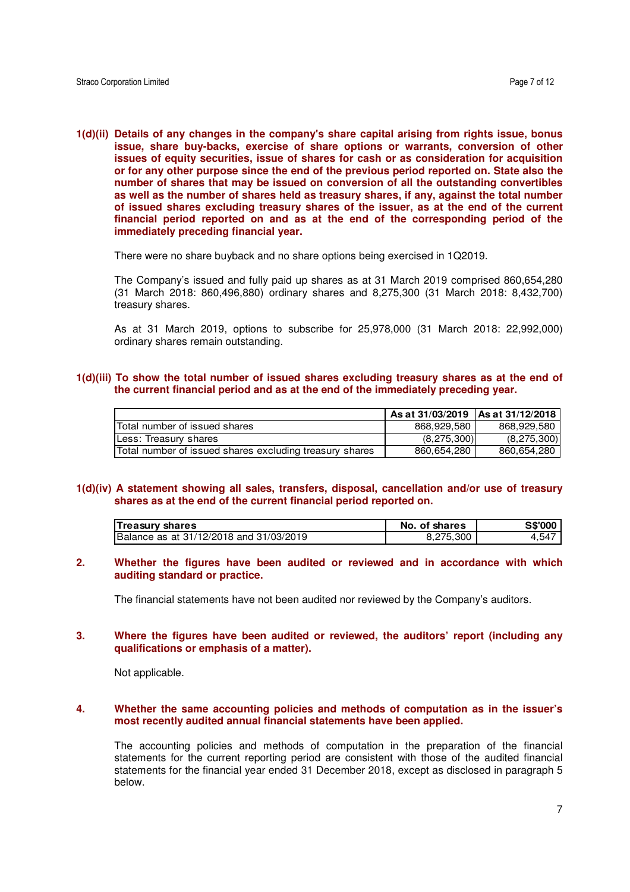**1(d)(ii) Details of any changes in the company's share capital arising from rights issue, bonus issue, share buy-backs, exercise of share options or warrants, conversion of other issues of equity securities, issue of shares for cash or as consideration for acquisition or for any other purpose since the end of the previous period reported on. State also the number of shares that may be issued on conversion of all the outstanding convertibles as well as the number of shares held as treasury shares, if any, against the total number of issued shares excluding treasury shares of the issuer, as at the end of the current financial period reported on and as at the end of the corresponding period of the immediately preceding financial year.** 

There were no share buyback and no share options being exercised in 1Q2019.

The Company's issued and fully paid up shares as at 31 March 2019 comprised 860,654,280 (31 March 2018: 860,496,880) ordinary shares and 8,275,300 (31 March 2018: 8,432,700) treasury shares.

As at 31 March 2019, options to subscribe for 25,978,000 (31 March 2018: 22,992,000) ordinary shares remain outstanding.

## **1(d)(iii) To show the total number of issued shares excluding treasury shares as at the end of the current financial period and as at the end of the immediately preceding year.**

|                                                         | As at 31/03/2019 IAs at 31/12/2018 I |             |
|---------------------------------------------------------|--------------------------------------|-------------|
| Total number of issued shares                           | 868,929,580                          | 868,929,580 |
| Less: Treasury shares                                   | (8,275,300)                          | (8,275,300) |
| Total number of issued shares excluding treasury shares | 860,654,280                          | 860,654,280 |

#### **1(d)(iv) A statement showing all sales, transfers, disposal, cancellation and/or use of treasury shares as at the end of the current financial period reported on.**

| <b>Treasury shares</b>                  | No. of shares | <b>S\$'000</b> |
|-----------------------------------------|---------------|----------------|
| Balance as at 31/12/2018 and 31/03/2019 | 8,275,300     | 4,547          |

## **2. Whether the figures have been audited or reviewed and in accordance with which auditing standard or practice.**

The financial statements have not been audited nor reviewed by the Company's auditors.

## **3. Where the figures have been audited or reviewed, the auditors' report (including any qualifications or emphasis of a matter).**

Not applicable.

### **4. Whether the same accounting policies and methods of computation as in the issuer's most recently audited annual financial statements have been applied.**

The accounting policies and methods of computation in the preparation of the financial statements for the current reporting period are consistent with those of the audited financial statements for the financial year ended 31 December 2018, except as disclosed in paragraph 5 below.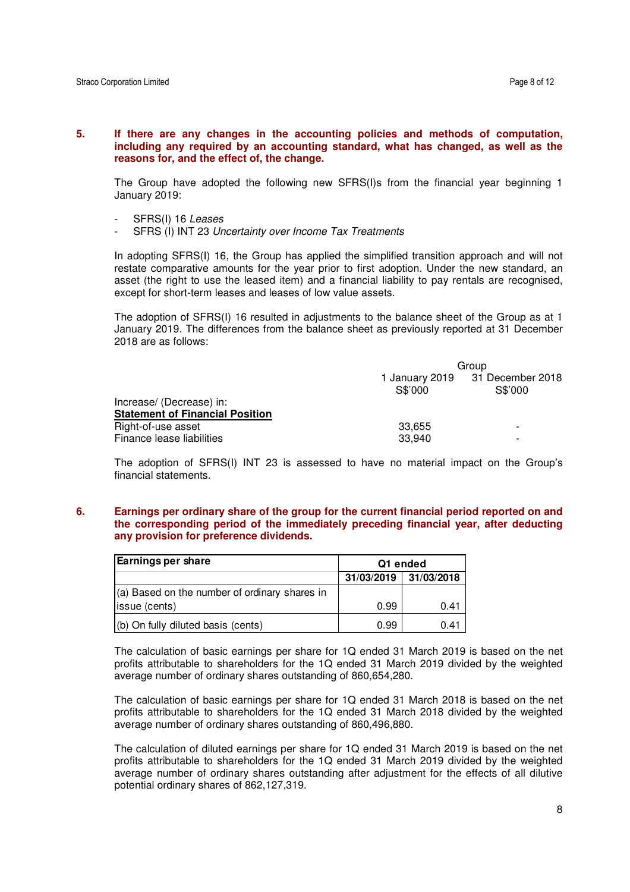### **5. If there are any changes in the accounting policies and methods of computation, including any required by an accounting standard, what has changed, as well as the reasons for, and the effect of, the change.**

The Group have adopted the following new SFRS(I)s from the financial year beginning 1 January 2019:

- SFRS(I) 16 Leases
- SFRS (I) INT 23 Uncertainty over Income Tax Treatments

In adopting SFRS(I) 16, the Group has applied the simplified transition approach and will not restate comparative amounts for the year prior to first adoption. Under the new standard, an asset (the right to use the leased item) and a financial liability to pay rentals are recognised, except for short-term leases and leases of low value assets.

The adoption of SFRS(I) 16 resulted in adjustments to the balance sheet of the Group as at 1 January 2019. The differences from the balance sheet as previously reported at 31 December 2018 are as follows:

|                                        | Group   |                                            |  |
|----------------------------------------|---------|--------------------------------------------|--|
|                                        | S\$'000 | 1 January 2019 31 December 2018<br>S\$'000 |  |
| Increase/ (Decrease) in:               |         |                                            |  |
| <b>Statement of Financial Position</b> |         |                                            |  |
| Right-of-use asset                     | 33.655  |                                            |  |
| Finance lease liabilities              | 33.940  |                                            |  |

The adoption of SFRS(I) INT 23 is assessed to have no material impact on the Group's financial statements.

**6. Earnings per ordinary share of the group for the current financial period reported on and the corresponding period of the immediately preceding financial year, after deducting any provision for preference dividends.** 

| <b>Earnings per share</b>                     | Q1 ended   |             |  |
|-----------------------------------------------|------------|-------------|--|
|                                               | 31/03/2019 | 131/03/2018 |  |
| (a) Based on the number of ordinary shares in |            |             |  |
| issue (cents)                                 | 0.99       | 0.41        |  |
| (b) On fully diluted basis (cents)            | 0.99       | 0.41        |  |

The calculation of basic earnings per share for 1Q ended 31 March 2019 is based on the net profits attributable to shareholders for the 1Q ended 31 March 2019 divided by the weighted average number of ordinary shares outstanding of 860,654,280.

The calculation of basic earnings per share for 1Q ended 31 March 2018 is based on the net profits attributable to shareholders for the 1Q ended 31 March 2018 divided by the weighted average number of ordinary shares outstanding of 860,496,880.

The calculation of diluted earnings per share for 1Q ended 31 March 2019 is based on the net profits attributable to shareholders for the 1Q ended 31 March 2019 divided by the weighted average number of ordinary shares outstanding after adjustment for the effects of all dilutive potential ordinary shares of 862,127,319.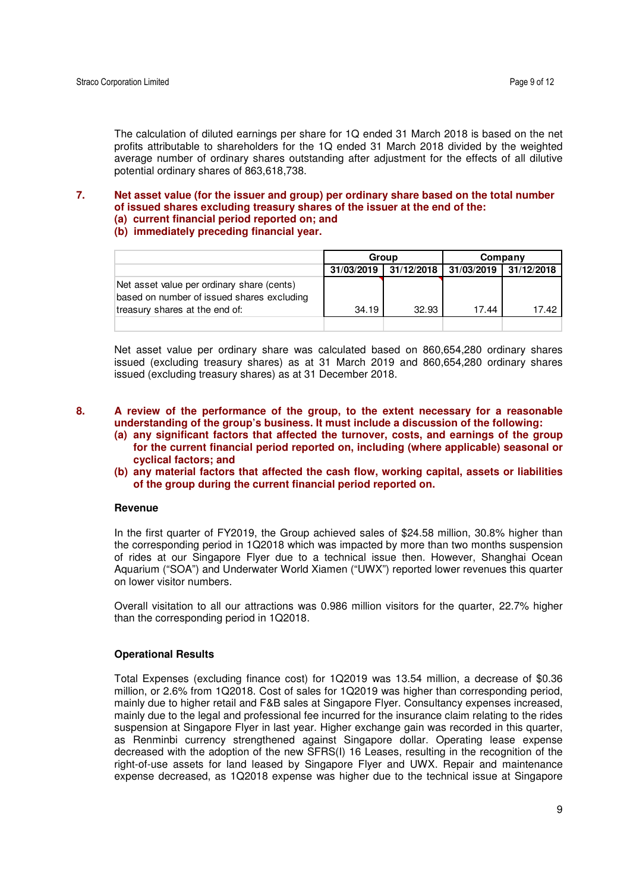The calculation of diluted earnings per share for 1Q ended 31 March 2018 is based on the net profits attributable to shareholders for the 1Q ended 31 March 2018 divided by the weighted average number of ordinary shares outstanding after adjustment for the effects of all dilutive potential ordinary shares of 863,618,738.

## **7. Net asset value (for the issuer and group) per ordinary share based on the total number of issued shares excluding treasury shares of the issuer at the end of the: (a) current financial period reported on; and**

#### **(b) immediately preceding financial year.**

|                                                                                          | Group      |            | Company    |            |
|------------------------------------------------------------------------------------------|------------|------------|------------|------------|
|                                                                                          | 31/03/2019 | 31/12/2018 | 31/03/2019 | 31/12/2018 |
| Net asset value per ordinary share (cents)<br>based on number of issued shares excluding |            |            |            |            |
| treasury shares at the end of:                                                           | 34.19      | 32.93      | 17.44      | 17.42      |
|                                                                                          |            |            |            |            |

Net asset value per ordinary share was calculated based on 860,654,280 ordinary shares issued (excluding treasury shares) as at 31 March 2019 and 860,654,280 ordinary shares issued (excluding treasury shares) as at 31 December 2018.

## **8. A review of the performance of the group, to the extent necessary for a reasonable understanding of the group's business. It must include a discussion of the following:**

- **(a) any significant factors that affected the turnover, costs, and earnings of the group for the current financial period reported on, including (where applicable) seasonal or cyclical factors; and**
- **(b) any material factors that affected the cash flow, working capital, assets or liabilities of the group during the current financial period reported on.**

#### **Revenue**

In the first quarter of FY2019, the Group achieved sales of \$24.58 million, 30.8% higher than the corresponding period in 1Q2018 which was impacted by more than two months suspension of rides at our Singapore Flyer due to a technical issue then. However, Shanghai Ocean Aquarium ("SOA") and Underwater World Xiamen ("UWX") reported lower revenues this quarter on lower visitor numbers.

Overall visitation to all our attractions was 0.986 million visitors for the quarter, 22.7% higher than the corresponding period in 1Q2018.

### **Operational Results**

Total Expenses (excluding finance cost) for 1Q2019 was 13.54 million, a decrease of \$0.36 million, or 2.6% from 1Q2018. Cost of sales for 1Q2019 was higher than corresponding period, mainly due to higher retail and F&B sales at Singapore Flyer. Consultancy expenses increased, mainly due to the legal and professional fee incurred for the insurance claim relating to the rides suspension at Singapore Flyer in last year. Higher exchange gain was recorded in this quarter, as Renminbi currency strengthened against Singapore dollar. Operating lease expense decreased with the adoption of the new SFRS(I) 16 Leases, resulting in the recognition of the right-of-use assets for land leased by Singapore Flyer and UWX. Repair and maintenance expense decreased, as 1Q2018 expense was higher due to the technical issue at Singapore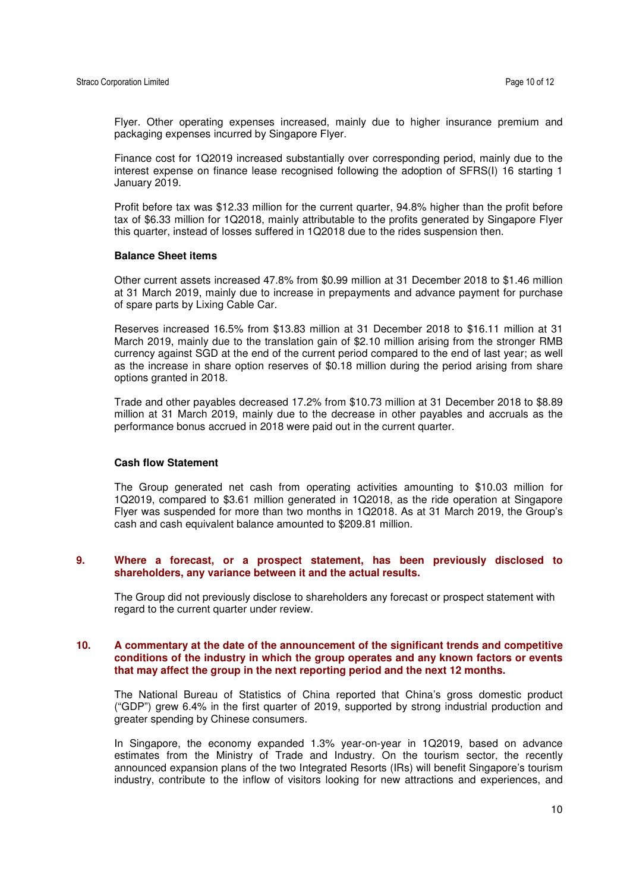Flyer. Other operating expenses increased, mainly due to higher insurance premium and packaging expenses incurred by Singapore Flyer.

Finance cost for 1Q2019 increased substantially over corresponding period, mainly due to the interest expense on finance lease recognised following the adoption of SFRS(I) 16 starting 1 January 2019.

Profit before tax was \$12.33 million for the current quarter, 94.8% higher than the profit before tax of \$6.33 million for 1Q2018, mainly attributable to the profits generated by Singapore Flyer this quarter, instead of losses suffered in 1Q2018 due to the rides suspension then.

#### **Balance Sheet items**

Other current assets increased 47.8% from \$0.99 million at 31 December 2018 to \$1.46 million at 31 March 2019, mainly due to increase in prepayments and advance payment for purchase of spare parts by Lixing Cable Car.

Reserves increased 16.5% from \$13.83 million at 31 December 2018 to \$16.11 million at 31 March 2019, mainly due to the translation gain of \$2.10 million arising from the stronger RMB currency against SGD at the end of the current period compared to the end of last year; as well as the increase in share option reserves of \$0.18 million during the period arising from share options granted in 2018.

Trade and other payables decreased 17.2% from \$10.73 million at 31 December 2018 to \$8.89 million at 31 March 2019, mainly due to the decrease in other payables and accruals as the performance bonus accrued in 2018 were paid out in the current quarter.

#### **Cash flow Statement**

The Group generated net cash from operating activities amounting to \$10.03 million for 1Q2019, compared to \$3.61 million generated in 1Q2018, as the ride operation at Singapore Flyer was suspended for more than two months in 1Q2018. As at 31 March 2019, the Group's cash and cash equivalent balance amounted to \$209.81 million.

#### **9. Where a forecast, or a prospect statement, has been previously disclosed to shareholders, any variance between it and the actual results.**

The Group did not previously disclose to shareholders any forecast or prospect statement with regard to the current quarter under review.

### **10. A commentary at the date of the announcement of the significant trends and competitive conditions of the industry in which the group operates and any known factors or events that may affect the group in the next reporting period and the next 12 months.**

The National Bureau of Statistics of China reported that China's gross domestic product ("GDP") grew 6.4% in the first quarter of 2019, supported by strong industrial production and greater spending by Chinese consumers.

In Singapore, the economy expanded 1.3% year-on-year in 1Q2019, based on advance estimates from the Ministry of Trade and Industry. On the tourism sector, the recently announced expansion plans of the two Integrated Resorts (IRs) will benefit Singapore's tourism industry, contribute to the inflow of visitors looking for new attractions and experiences, and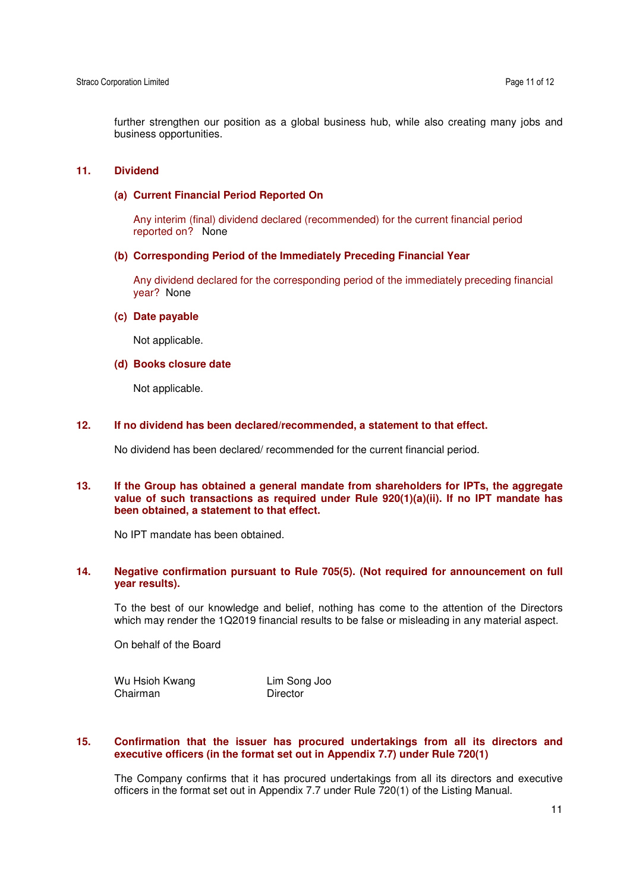further strengthen our position as a global business hub, while also creating many jobs and business opportunities.

### **11. Dividend**

#### **(a) Current Financial Period Reported On**

Any interim (final) dividend declared (recommended) for the current financial period reported on? None

### **(b) Corresponding Period of the Immediately Preceding Financial Year**

Any dividend declared for the corresponding period of the immediately preceding financial year? None

## **(c) Date payable**

Not applicable.

#### **(d) Books closure date**

Not applicable.

#### **12. If no dividend has been declared/recommended, a statement to that effect.**

No dividend has been declared/ recommended for the current financial period.

### **13. If the Group has obtained a general mandate from shareholders for IPTs, the aggregate value of such transactions as required under Rule 920(1)(a)(ii). If no IPT mandate has been obtained, a statement to that effect.**

No IPT mandate has been obtained.

#### **14. Negative confirmation pursuant to Rule 705(5). (Not required for announcement on full year results).**

To the best of our knowledge and belief, nothing has come to the attention of the Directors which may render the 1Q2019 financial results to be false or misleading in any material aspect.

On behalf of the Board

Wu Hsioh Kwang Lim Song Joo Chairman Director

#### **15. Confirmation that the issuer has procured undertakings from all its directors and executive officers (in the format set out in Appendix 7.7) under Rule 720(1)**

The Company confirms that it has procured undertakings from all its directors and executive officers in the format set out in Appendix 7.7 under Rule 720(1) of the Listing Manual.